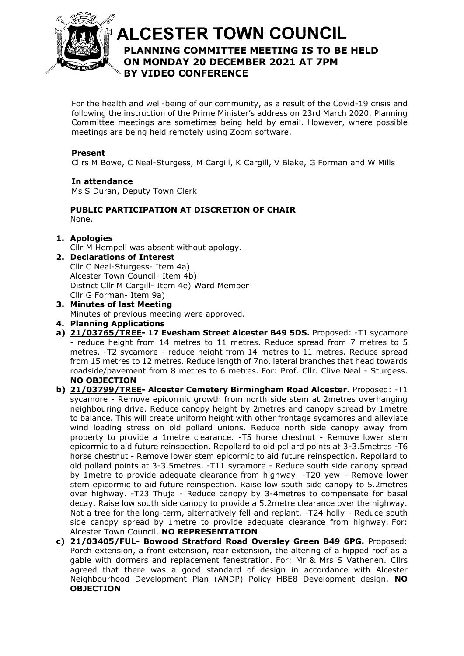

# **ALCESTER TOWN COUNCIL PLANNING COMMITTEE MEETING IS TO BE HELD**  At the discretion of the Chair **ON MONDAY 20 DECEMBER 2021 AT 7PM BY VIDEO CONFERENCE**

For the health and well-being of our community, as a result of the Covid-19 crisis and following the instruction of the Prime Minister's address on 23rd March 2020, Planning Committee meetings are sometimes being held by email. However, where possible meetings are being held remotely using Zoom software.

## **Present**

Cllrs M Bowe, C Neal-Sturgess, M Cargill, K Cargill, V Blake, G Forman and W Mills

#### **In attendance** Ms S Duran, Deputy Town Clerk

### **PUBLIC PARTICIPATION AT DISCRETION OF CHAIR** None.

## **1. Apologies**

Cllr M Hempell was absent without apology.

- **2. Declarations of Interest** Cllr C Neal-Sturgess- Item 4a) Alcester Town Council- Item 4b) District Cllr M Cargill- Item 4e) Ward Member Cllr G Forman- Item 9a)
- **3. Minutes of last Meeting** Minutes of previous meeting were approved.
- **4. Planning Applications**
- **a) [21/03765/TREE-](https://apps.stratford.gov.uk/eplanning/AppDetail.aspx?appkey=R3BQ91PMN1M00) 17 Evesham Street Alcester B49 5DS.** Proposed: -T1 sycamore - reduce height from 14 metres to 11 metres. Reduce spread from 7 metres to 5 metres. -T2 sycamore - reduce height from 14 metres to 11 metres. Reduce spread from 15 metres to 12 metres. Reduce length of 7no. lateral branches that head towards roadside/pavement from 8 metres to 6 metres. For: Prof. Cllr. Clive Neal - Sturgess. **NO OBJECTION**
- **b) [21/03799/TREE-](https://apps.stratford.gov.uk/eplanning/AppDetail.aspx?appkey=R3FFPIPMGMF00) Alcester Cemetery Birmingham Road Alcester.** Proposed: -T1 sycamore - Remove epicormic growth from north side stem at 2metres overhanging neighbouring drive. Reduce canopy height by 2metres and canopy spread by 1metre to balance. This will create uniform height with other frontage sycamores and alleviate wind loading stress on old pollard unions. Reduce north side canopy away from property to provide a 1metre clearance. -T5 horse chestnut - Remove lower stem epicormic to aid future reinspection. Repollard to old pollard points at 3-3.5metres -T6 horse chestnut - Remove lower stem epicormic to aid future reinspection. Repollard to old pollard points at 3-3.5metres. -T11 sycamore - Reduce south side canopy spread by 1metre to provide adequate clearance from highway. -T20 yew - Remove lower stem epicormic to aid future reinspection. Raise low south side canopy to 5.2metres over highway. -T23 Thuja - Reduce canopy by 3-4metres to compensate for basal decay. Raise low south side canopy to provide a 5.2metre clearance over the highway. Not a tree for the long-term, alternatively fell and replant. -T24 holly - Reduce south side canopy spread by 1metre to provide adequate clearance from highway. For: Alcester Town Council. **NO REPRESENTATION**
- **c) [21/03405/FUL-](https://apps.stratford.gov.uk/eplanning/AppDetail.aspx?appkey=R1IUBAPMHMS00) Bowood Stratford Road Oversley Green B49 6PG.** Proposed: Porch extension, a front extension, rear extension, the altering of a hipped roof as a gable with dormers and replacement fenestration. For: Mr & Mrs S Vathenen. Cllrs agreed that there was a good standard of design in accordance with Alcester Neighbourhood Development Plan (ANDP) Policy HBE8 Development design. **NO OBJECTION**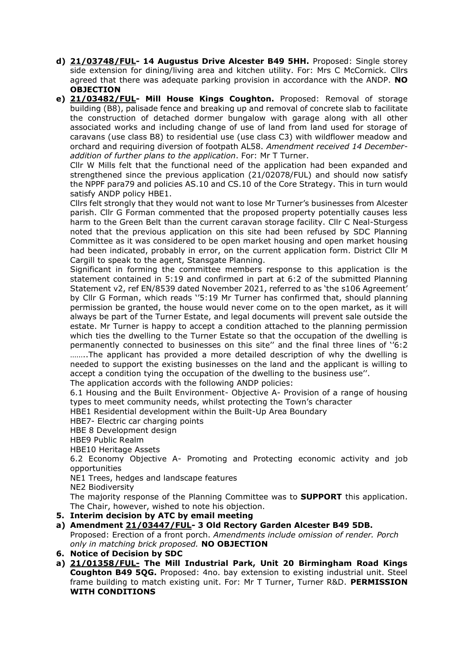- **d) [21/03748/FUL-](https://apps.stratford.gov.uk/eplanning/AppDetail.aspx?appkey=R34BMWPMM2O00) 14 Augustus Drive Alcester B49 5HH.** Proposed: Single storey side extension for dining/living area and kitchen utility. For: Mrs C McCornick. Cllrs agreed that there was adequate parking provision in accordance with the ANDP. **NO OBJECTION**
- **e) [21/03482/FUL-](https://apps.stratford.gov.uk/eplanning/AppDetail.aspx?appkey=R1WCAEPMK8T00) Mill House Kings Coughton.** Proposed: Removal of storage building (B8), palisade fence and breaking up and removal of concrete slab to facilitate the construction of detached dormer bungalow with garage along with all other associated works and including change of use of land from land used for storage of caravans (use class B8) to residential use (use class C3) with wildflower meadow and orchard and requiring diversion of footpath AL58. *Amendment received 14 Decemberaddition of further plans to the application*. For: Mr T Turner.

Cllr W Mills felt that the functional need of the application had been expanded and strengthened since the previous application (21/02078/FUL) and should now satisfy the NPPF para79 and policies AS.10 and CS.10 of the Core Strategy. This in turn would satisfy ANDP policy HBE1.

Cllrs felt strongly that they would not want to lose Mr Turner's businesses from Alcester parish. Cllr G Forman commented that the proposed property potentially causes less harm to the Green Belt than the current caravan storage facility. Cllr C Neal-Sturgess noted that the previous application on this site had been refused by SDC Planning Committee as it was considered to be open market housing and open market housing had been indicated, probably in error, on the current application form. District Cllr M Cargill to speak to the agent, Stansgate Planning.

Significant in forming the committee members response to this application is the statement contained in 5:19 and confirmed in part at 6:2 of the submitted Planning Statement v2, ref EN/8539 dated November 2021, referred to as 'the s106 Agreement' by Cllr G Forman, which reads ''5:19 Mr Turner has confirmed that, should planning permission be granted, the house would never come on to the open market, as it will always be part of the Turner Estate, and legal documents will prevent sale outside the estate. Mr Turner is happy to accept a condition attached to the planning permission which ties the dwelling to the Turner Estate so that the occupation of the dwelling is permanently connected to businesses on this site'' and the final three lines of ''6:2 ……..The applicant has provided a more detailed description of why the dwelling is needed to support the existing businesses on the land and the applicant is willing to accept a condition tying the occupation of the dwelling to the business use''.

The application accords with the following ANDP policies:

6.1 Housing and the Built Environment- Objective A- Provision of a range of housing types to meet community needs, whilst protecting the Town's character

HBE1 Residential development within the Built-Up Area Boundary

HBE7- Electric car charging points

HBE 8 Development design

HBE9 Public Realm

HBE10 Heritage Assets

6.2 Economy Objective A- Promoting and Protecting economic activity and job opportunities

NE1 Trees, hedges and landscape features

NE2 Biodiversity

The majority response of the Planning Committee was to **SUPPORT** this application. The Chair, however, wished to note his objection.

- **5. Interim decision by ATC by email meeting**
- **a) Amendment [21/03447/FUL-](https://apps.stratford.gov.uk/eplanning/AppDetail.aspx?appkey=R1N3MLPM0IH00) 3 Old Rectory Garden Alcester B49 5DB.**

Proposed: Erection of a front porch. *Amendments include omission of render. Porch only in matching brick proposed.* **NO OBJECTION**

- **6. Notice of Decision by SDC**
- **a) [21/01358/FUL-](https://apps.stratford.gov.uk/eplanning/AppDetail.aspx?appkey=QRZ0J6PMG0P00) The Mill Industrial Park, Unit 20 Birmingham Road Kings Coughton B49 5QG.** Proposed: 4no. bay extension to existing industrial unit. Steel frame building to match existing unit. For: Mr T Turner, Turner R&D. **PERMISSION WITH CONDITIONS**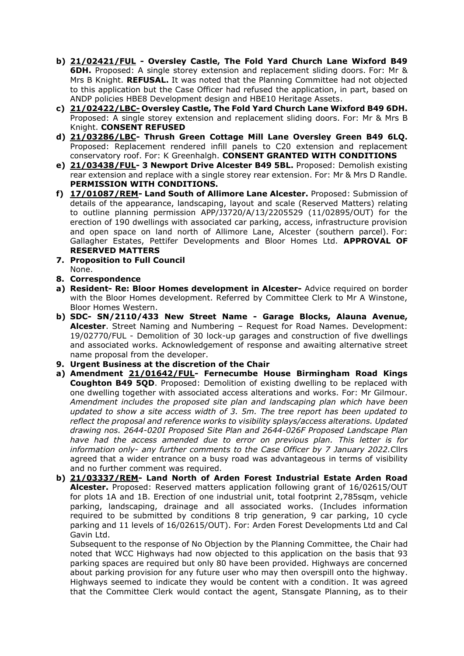- **b) [21/02421/FUL](https://apps.stratford.gov.uk/eplanning/AppDetail.aspx?appkey=QWY0VAPMMOC00) - Oversley Castle, The Fold Yard Church Lane Wixford B49 6DH.** Proposed: A single storey extension and replacement sliding doors. For: Mr & Mrs B Knight. **REFUSAL.** It was noted that the Planning Committee had not objected to this application but the Case Officer had refused the application, in part, based on ANDP policies HBE8 Development design and HBE10 Heritage Assets.
- **c) [21/02422/LBC-](https://apps.stratford.gov.uk/eplanning/AppDetail.aspx?appkey=QWY0VBPMMOD00) Oversley Castle, The Fold Yard Church Lane Wixford B49 6DH.** Proposed: A single storey extension and replacement sliding doors. For: Mr & Mrs B Knight. **CONSENT REFUSED**
- **d) [21/03286/LBC-](https://apps.stratford.gov.uk/eplanning/AppDetail.aspx?appkey=R0WXANPMLGT00) Thrush Green Cottage Mill Lane Oversley Green B49 6LQ.** Proposed: Replacement rendered infill panels to C20 extension and replacement conservatory roof. For: K Greenhalgh. **CONSENT GRANTED WITH CONDITIONS**
- **e) [21/03438/FUL-](https://apps.stratford.gov.uk/eplanning/AppDetail.aspx?appkey=R1MRTQPMIUY00) 3 Newport Drive Alcester B49 5BL.** Proposed: Demolish existing rear extension and replace with a single storey rear extension. For: Mr & Mrs D Randle. **PERMISSION WITH CONDITIONS.**
- **f) [17/01087/REM-](https://apps.stratford.gov.uk/eplanning/AppDetail.aspx?appkey=OO8PBYPM00E00) Land South of Allimore Lane Alcester.** Proposed: Submission of details of the appearance, landscaping, layout and scale (Reserved Matters) relating to outline planning permission APP/J3720/A/13/2205529 (11/02895/OUT) for the erection of 190 dwellings with associated car parking, access, infrastructure provision and open space on land north of Allimore Lane, Alcester (southern parcel). For: Gallagher Estates, Pettifer Developments and Bloor Homes Ltd. **APPROVAL OF RESERVED MATTERS**
- **7. Proposition to Full Council** None.
- **8. Correspondence**
- **a) Resident- Re: Bloor Homes development in Alcester-** Advice required on border with the Bloor Homes development. Referred by Committee Clerk to Mr A Winstone, Bloor Homes Western.
- **b) SDC- SN/2110/433 New Street Name - Garage Blocks, Alauna Avenue, Alcester**. Street Naming and Numbering – Request for Road Names. Development: 19/02770/FUL - Demolition of 30 lock-up garages and construction of five dwellings and associated works. Acknowledgement of response and awaiting alternative street name proposal from the developer.
- **9. Urgent Business at the discretion of the Chair**
- **a) Amendment [21/01642/FUL-](https://apps.stratford.gov.uk/eplanning/AppDetail.aspx?appkey=QT8ZYSPMG3U00) Fernecumbe House Birmingham Road Kings Coughton B49 5QD**. Proposed: Demolition of existing dwelling to be replaced with one dwelling together with associated access alterations and works. For: Mr Gilmour. *Amendment includes the proposed site plan and landscaping plan which have been updated to show a site access width of 3. 5m. The tree report has been updated to reflect the proposal and reference works to visibility splays/access alterations. Updated drawing nos. 2644-020I Proposed Site Plan and 2644-026F Proposed Landscape Plan have had the access amended due to error on previous plan. This letter is for information only- any further comments to the Case Officer by 7 January 2022.*Cllrs agreed that a wider entrance on a busy road was advantageous in terms of visibility and no further comment was required.
- **b) [21/03337/REM-](https://apps.stratford.gov.uk/eplanning/AppDetail.aspx?appkey=R16HTSPMFP200) Land North of Arden Forest Industrial Estate Arden Road Alcester.** Proposed: Reserved matters application following grant of 16/02615/OUT for plots 1A and 1B. Erection of one industrial unit, total footprint 2,785sqm, vehicle parking, landscaping, drainage and all associated works. (Includes information required to be submitted by conditions 8 trip generation, 9 car parking, 10 cycle parking and 11 levels of 16/02615/OUT). For: Arden Forest Developments Ltd and Cal Gavin Ltd.

Subsequent to the response of No Objection by the Planning Committee, the Chair had noted that WCC Highways had now objected to this application on the basis that 93 parking spaces are required but only 80 have been provided. Highways are concerned about parking provision for any future user who may then overspill onto the highway. Highways seemed to indicate they would be content with a condition. It was agreed that the Committee Clerk would contact the agent, Stansgate Planning, as to their